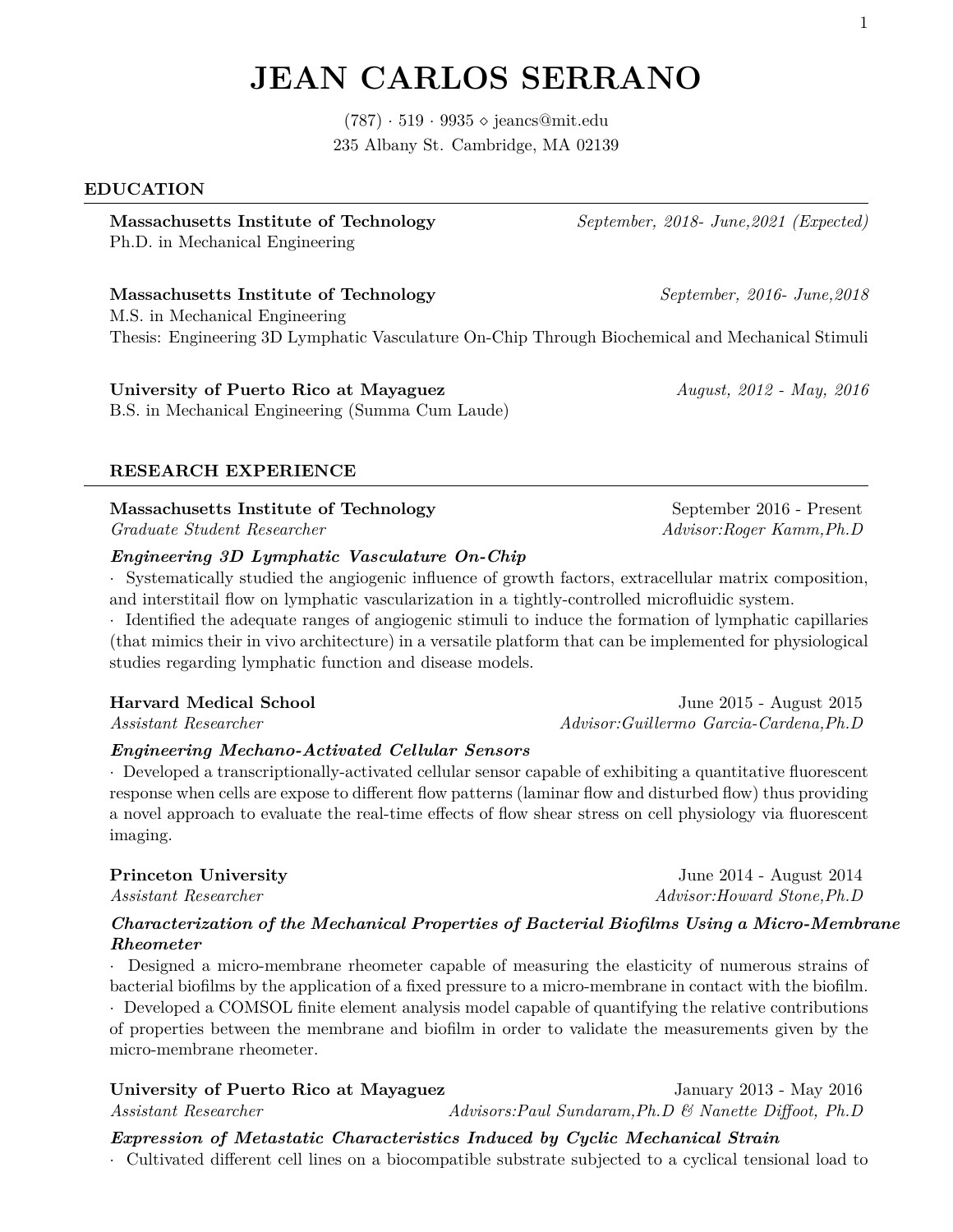### 1

# **JEAN CARLOS SERRANO**

 $(787) \cdot 519 \cdot 9935 \diamond$  jeancs@mit.edu 235 Albany St. Cambridge, MA 02139

### **EDUCATION**

**Massachusetts Institute of Technology** *September, 2018- June,2021 (Expected)* Ph.D. in Mechanical Engineering

### **Massachusetts Institute of Technology** *September, 2016- June,2018*

M.S. in Mechanical Engineering Thesis: Engineering 3D Lymphatic Vasculature On-Chip Through Biochemical and Mechanical Stimuli

# **University of Puerto Rico at Mayaguez** *August, 2012 - May, 2016*

B.S. in Mechanical Engineering (Summa Cum Laude)

### **RESEARCH EXPERIENCE**

# **Massachusetts Institute of Technology** September 2016 - Present

### *Engineering 3D Lymphatic Vasculature On-Chip*

· Systematically studied the angiogenic influence of growth factors, extracellular matrix composition, and interstitail flow on lymphatic vascularization in a tightly-controlled microfluidic system.

· Identified the adequate ranges of angiogenic stimuli to induce the formation of lymphatic capillaries (that mimics their in vivo architecture) in a versatile platform that can be implemented for physiological studies regarding lymphatic function and disease models.

### **Harvard Medical School** June 2015 - August 2015

*Assistant Researcher Advisor:Guillermo Garcia-Cardena,Ph.D*

### *Engineering Mechano-Activated Cellular Sensors*

· Developed a transcriptionally-activated cellular sensor capable of exhibiting a quantitative fluorescent response when cells are expose to different flow patterns (laminar flow and disturbed flow) thus providing a novel approach to evaluate the real-time effects of flow shear stress on cell physiology via fluorescent imaging.

## *Characterization of the Mechanical Properties of Bacterial Biofilms Using a Micro-Membrane Rheometer*

· Designed a micro-membrane rheometer capable of measuring the elasticity of numerous strains of bacterial biofilms by the application of a fixed pressure to a micro-membrane in contact with the biofilm.

· Developed a COMSOL finite element analysis model capable of quantifying the relative contributions of properties between the membrane and biofilm in order to validate the measurements given by the micro-membrane rheometer.

### **University of Puerto Rico at Mayaguez** January 2013 - May 2016 *Assistant Researcher Advisors:Paul Sundaram,Ph.D & Nanette Diffoot, Ph.D*

### *Expression of Metastatic Characteristics Induced by Cyclic Mechanical Strain*

· Cultivated different cell lines on a biocompatible substrate subjected to a cyclical tensional load to

*Graduate Student Researcher Advisor:Roger Kamm,Ph.D*

**Princeton University** June 2014 - August 2014 *Assistant Researcher* **Advisor:Howard Stone,Ph.D**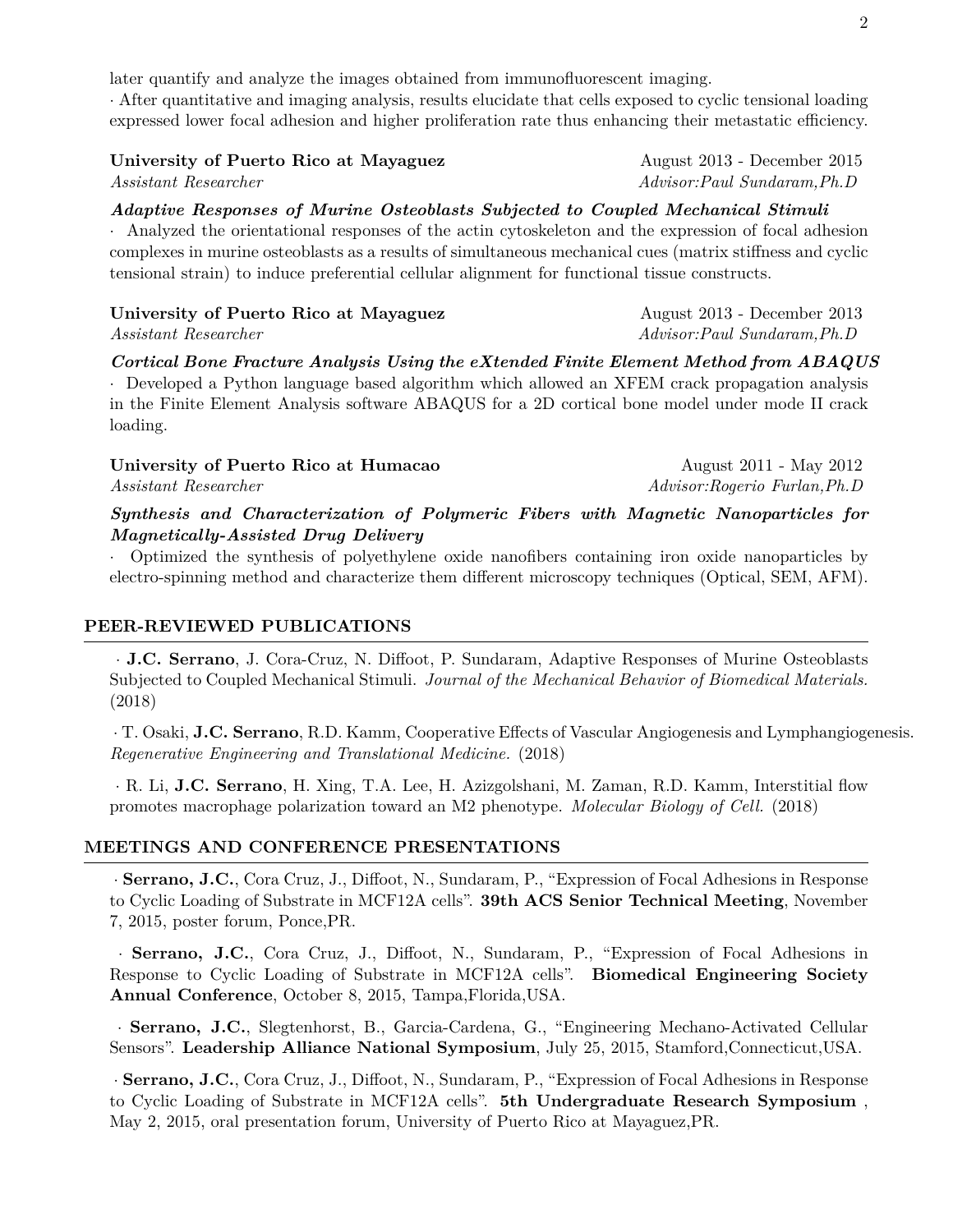| University of Puerto Rico at Mayaguez | August 2013 - December 2015  |
|---------------------------------------|------------------------------|
| <i>Assistant Researcher</i>           | Advisor: Paul Sundaram, Ph.D |

*Adaptive Responses of Murine Osteoblasts Subjected to Coupled Mechanical Stimuli*

· Analyzed the orientational responses of the actin cytoskeleton and the expression of focal adhesion complexes in murine osteoblasts as a results of simultaneous mechanical cues (matrix stiffness and cyclic tensional strain) to induce preferential cellular alignment for functional tissue constructs.

| University of Puerto Rico at Mayaguez | August 2013 - December 2013  |
|---------------------------------------|------------------------------|
| <i>Assistant Researcher</i>           | Advisor: Paul Sundaram, Ph.D |

*Cortical Bone Fracture Analysis Using the eXtended Finite Element Method from ABAQUS*

· Developed a Python language based algorithm which allowed an XFEM crack propagation analysis in the Finite Element Analysis software ABAQUS for a 2D cortical bone model under mode II crack loading.

| University of Puerto Rico at Humacao                                                                                                                                                                                                                                                                                                                          | August 2011 - May 2012                        |
|---------------------------------------------------------------------------------------------------------------------------------------------------------------------------------------------------------------------------------------------------------------------------------------------------------------------------------------------------------------|-----------------------------------------------|
| <i>Assistant Researcher</i>                                                                                                                                                                                                                                                                                                                                   | Advisor:Rogerio Furlan, Ph.D                  |
| $\alpha$ , $\alpha$ , $\alpha$ , $\alpha$ , $\alpha$ , $\alpha$ , $\alpha$ , $\alpha$ , $\alpha$ , $\alpha$ , $\alpha$ , $\alpha$ , $\alpha$ , $\alpha$ , $\alpha$ , $\alpha$ , $\alpha$ , $\alpha$ , $\alpha$ , $\alpha$ , $\alpha$ , $\alpha$ , $\alpha$ , $\alpha$ , $\alpha$ , $\alpha$ , $\alpha$ , $\alpha$ , $\alpha$ , $\alpha$ , $\alpha$ , $\alpha$ | $\cdots$ as $\cdots$ at $\cdots$ and $\cdots$ |

*Synthesis and Characterization of Polymeric Fibers with Magnetic Nanoparticles for Magnetically-Assisted Drug Delivery*

· Optimized the synthesis of polyethylene oxide nanofibers containing iron oxide nanoparticles by electro-spinning method and characterize them different microscopy techniques (Optical, SEM, AFM).

# **PEER-REVIEWED PUBLICATIONS**

· **J.C. Serrano**, J. Cora-Cruz, N. Diffoot, P. Sundaram, Adaptive Responses of Murine Osteoblasts Subjected to Coupled Mechanical Stimuli. *Journal of the Mechanical Behavior of Biomedical Materials.* (2018)

· T. Osaki, **J.C. Serrano**, R.D. Kamm, Cooperative Effects of Vascular Angiogenesis and Lymphangiogenesis. *Regenerative Engineering and Translational Medicine.* (2018)

· R. Li, **J.C. Serrano**, H. Xing, T.A. Lee, H. Azizgolshani, M. Zaman, R.D. Kamm, Interstitial flow promotes macrophage polarization toward an M2 phenotype. *Molecular Biology of Cell.* (2018)

# **MEETINGS AND CONFERENCE PRESENTATIONS**

· **Serrano, J.C.**, Cora Cruz, J., Diffoot, N., Sundaram, P., "Expression of Focal Adhesions in Response to Cyclic Loading of Substrate in MCF12A cells". **39th ACS Senior Technical Meeting**, November 7, 2015, poster forum, Ponce,PR.

· **Serrano, J.C.**, Cora Cruz, J., Diffoot, N., Sundaram, P., "Expression of Focal Adhesions in Response to Cyclic Loading of Substrate in MCF12A cells". **Biomedical Engineering Society Annual Conference**, October 8, 2015, Tampa,Florida,USA.

· **Serrano, J.C.**, Slegtenhorst, B., Garcia-Cardena, G., "Engineering Mechano-Activated Cellular Sensors". **Leadership Alliance National Symposium**, July 25, 2015, Stamford,Connecticut,USA.

· **Serrano, J.C.**, Cora Cruz, J., Diffoot, N., Sundaram, P., "Expression of Focal Adhesions in Response to Cyclic Loading of Substrate in MCF12A cells". **5th Undergraduate Research Symposium** , May 2, 2015, oral presentation forum, University of Puerto Rico at Mayaguez,PR.